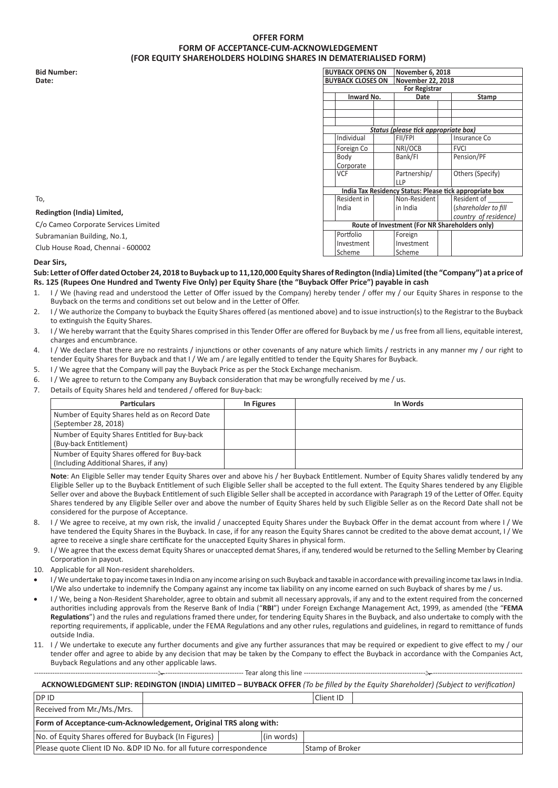## **OFFER FORM FORM OF ACCEPTANCE-CUM-ACKNOWLEDGEMENT (FOR EQUITY SHAREHOLDERS HOLDING SHARES IN DEMATERIALISED FORM)**

| <b>Bid Number:</b>                   | <b>BUYBACK OPENS ON</b> |                          |  | November 6, 2018                               |  |                                                         |
|--------------------------------------|-------------------------|--------------------------|--|------------------------------------------------|--|---------------------------------------------------------|
| Date:                                |                         | <b>BUYBACK CLOSES ON</b> |  | November 22, 2018                              |  |                                                         |
|                                      |                         |                          |  | <b>For Registrar</b>                           |  |                                                         |
|                                      |                         | Inward No.               |  | Date                                           |  | <b>Stamp</b>                                            |
|                                      |                         |                          |  |                                                |  |                                                         |
|                                      |                         |                          |  |                                                |  |                                                         |
|                                      |                         |                          |  |                                                |  |                                                         |
|                                      |                         |                          |  | Status (please tick appropriate box)           |  |                                                         |
|                                      |                         | Individual               |  | FII/FPI                                        |  | Insurance Co                                            |
|                                      |                         | Foreign Co               |  | NRI/OCB                                        |  | <b>FVCI</b>                                             |
|                                      |                         | Body                     |  | Bank/Fl                                        |  | Pension/PF                                              |
|                                      |                         | Corporate                |  |                                                |  |                                                         |
|                                      |                         | <b>VCF</b>               |  | Partnership/                                   |  | Others (Specify)                                        |
|                                      |                         |                          |  | <b>LLP</b>                                     |  |                                                         |
|                                      |                         |                          |  |                                                |  | India Tax Residency Status: Please tick appropriate box |
| To,                                  |                         | Resident in              |  | Non-Resident                                   |  | Resident of                                             |
| Redingtion (India) Limited,          |                         | India                    |  | in India                                       |  | (shareholder to fill                                    |
|                                      |                         |                          |  |                                                |  | country of residence)                                   |
| C/o Cameo Corporate Services Limited |                         |                          |  | Route of Investment (For NR Shareholders only) |  |                                                         |
| Subramanian Building, No.1,          |                         | Portfolio                |  | Foreign                                        |  |                                                         |
| Club House Road, Chennai - 600002    |                         | Investment               |  | Investment                                     |  |                                                         |
|                                      |                         | Scheme                   |  | Scheme                                         |  |                                                         |

## **Dear Sirs,**

**Sub: Letter of Offer dated October 24, 2018 to Buyback up to 11,120,000 Equity Shares of Redington (India) Limited (the "Company") at a price of Rs. 125 (Rupees One Hundred and Twenty Five Only) per Equity Share (the "Buyback Offer Price") payable in cash**

- 1. I / We (having read and understood the Letter of Offer issued by the Company) hereby tender / offer my / our Equity Shares in response to the Buyback on the terms and conditions set out below and in the Letter of Offer.
- 2. I / We authorize the Company to buyback the Equity Shares offered (as mentioned above) and to issue instruction(s) to the Registrar to the Buyback to extinguish the Equity Shares.
- 3. I / We hereby warrant that the Equity Shares comprised in this Tender Offer are offered for Buyback by me / us free from all liens, equitable interest, charges and encumbrance.
- 4. I / We declare that there are no restraints / injunctions or other covenants of any nature which limits / restricts in any manner my / our right to tender Equity Shares for Buyback and that I / We am / are legally entitled to tender the Equity Shares for Buyback.
- 5. I / We agree that the Company will pay the Buyback Price as per the Stock Exchange mechanism.
- 6. I / We agree to return to the Company any Buyback consideration that may be wrongfully received by me / us.
- 7. Details of Equity Shares held and tendered / offered for Buy-back:

| <b>Particulars</b>                                                                    | In Figures | In Words |
|---------------------------------------------------------------------------------------|------------|----------|
| Number of Equity Shares held as on Record Date<br>(September 28, 2018)                |            |          |
| Number of Equity Shares Entitled for Buy-back<br>(Buy-back Entitlement)               |            |          |
| Number of Equity Shares offered for Buy-back<br>(Including Additional Shares, if any) |            |          |

**Note**: An Eligible Seller may tender Equity Shares over and above his / her Buyback Entitlement. Number of Equity Shares validly tendered by any Eligible Seller up to the Buyback Entitlement of such Eligible Seller shall be accepted to the full extent. The Equity Shares tendered by any Eligible Seller over and above the Buyback Entitlement of such Eligible Seller shall be accepted in accordance with Paragraph 19 of the Letter of Offer. Equity Shares tendered by any Eligible Seller over and above the number of Equity Shares held by such Eligible Seller as on the Record Date shall not be considered for the purpose of Acceptance.

- 8. I / We agree to receive, at my own risk, the invalid / unaccepted Equity Shares under the Buyback Offer in the demat account from where I / We have tendered the Equity Shares in the Buyback. In case, if for any reason the Equity Shares cannot be credited to the above demat account, I / We agree to receive a single share certificate for the unaccepted Equity Shares in physical form.
- 9. I / We agree that the excess demat Equity Shares or unaccepted demat Shares, if any, tendered would be returned to the Selling Member by Clearing Corporation in payout.
- 10. Applicable for all Non-resident shareholders.
- I/We undertake to pay income taxes in India on any income arising on such Buyback and taxable in accordance with prevailing income tax laws in India. I/We also undertake to indemnify the Company against any income tax liability on any income earned on such Buyback of shares by me / us.
- I/We, being a Non-Resident Shareholder, agree to obtain and submit all necessary approvals, if any and to the extent required from the concerned authorities including approvals from the Reserve Bank of India ("**RBI**") under Foreign Exchange Management Act, 1999, as amended (the "**FEMA Regulations**") and the rules and regulations framed there under, for tendering Equity Shares in the Buyback, and also undertake to comply with the reporting requirements, if applicable, under the FEMA Regulations and any other rules, regulations and guidelines, in regard to remittance of funds outside India.
- 11. I / We undertake to execute any further documents and give any further assurances that may be required or expedient to give effect to my / our tender offer and agree to abide by any decision that may be taken by the Company to effect the Buyback in accordance with the Companies Act, Buyback Regulations and any other applicable laws.

--- Tear along this line --

**ACKNOWLEDGMENT SLIP: REDINGTON (INDIA) LIMITED – BUYBACK OFFER** *(To be filled by the Equity Shareholder) (Subject to verification)*

| DP ID                                                                |  |  |                 | Client ID |  |  |  |
|----------------------------------------------------------------------|--|--|-----------------|-----------|--|--|--|
| Received from Mr./Ms./Mrs.                                           |  |  |                 |           |  |  |  |
| Form of Acceptance-cum-Acknowledgement, Original TRS along with:     |  |  |                 |           |  |  |  |
| No. of Equity Shares offered for Buyback (In Figures)<br>(in words)  |  |  |                 |           |  |  |  |
| Please quote Client ID No. & DP ID No. for all future correspondence |  |  | Stamp of Broker |           |  |  |  |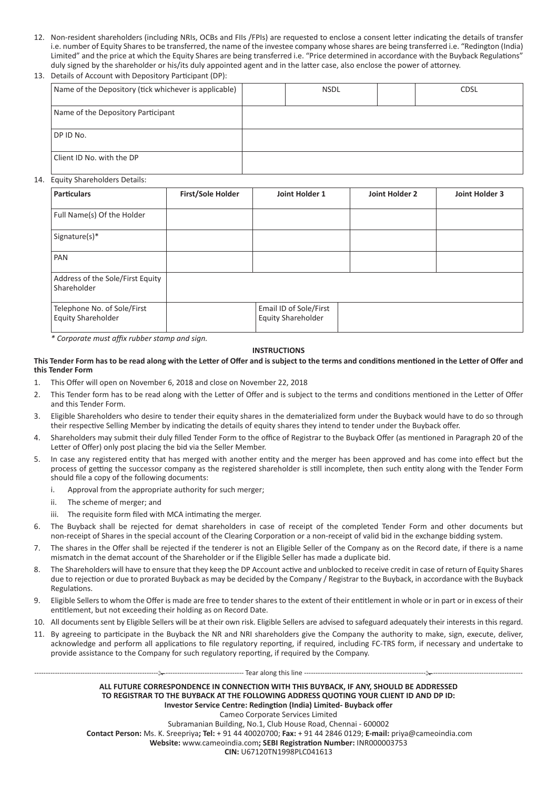- 12. Non-resident shareholders (including NRIs, OCBs and FIIs /FPIs) are requested to enclose a consent letter indicating the details of transfer i.e. number of Equity Shares to be transferred, the name of the investee company whose shares are being transferred i.e. "Redington (India) Limited" and the price at which the Equity Shares are being transferred i.e. "Price determined in accordance with the Buyback Regulations" duly signed by the shareholder or his/its duly appointed agent and in the latter case, also enclose the power of attorney.
- 13. Details of Account with Depository Participant (DP):

| Name of the Depository (tick whichever is applicable) | <b>NSDL</b> | <b>CDSL</b> |
|-------------------------------------------------------|-------------|-------------|
|                                                       |             |             |
| Name of the Depository Participant                    |             |             |
|                                                       |             |             |
| DP ID No.                                             |             |             |
|                                                       |             |             |
| Client ID No. with the DP                             |             |             |
|                                                       |             |             |

# 14. Equity Shareholders Details:

| <b>Particulars</b>                                | <b>First/Sole Holder</b> | Joint Holder 1                               | Joint Holder 2 | Joint Holder 3 |
|---------------------------------------------------|--------------------------|----------------------------------------------|----------------|----------------|
| Full Name(s) Of the Holder                        |                          |                                              |                |                |
| Signature(s)*                                     |                          |                                              |                |                |
| PAN                                               |                          |                                              |                |                |
| Address of the Sole/First Equity<br>Shareholder   |                          |                                              |                |                |
| Telephone No. of Sole/First<br>Equity Shareholder |                          | Email ID of Sole/First<br>Equity Shareholder |                |                |

*\* Corporate must affix rubber stamp and sign.*

## **INSTRUCTIONS**

## **This Tender Form has to be read along with the Letter of Offer and is subject to the terms and conditions mentioned in the Letter of Offer and this Tender Form**

- 1. This Offer will open on November 6, 2018 and close on November 22, 2018
- 2. This Tender form has to be read along with the Letter of Offer and is subject to the terms and conditions mentioned in the Letter of Offer and this Tender Form.
- 3. Eligible Shareholders who desire to tender their equity shares in the dematerialized form under the Buyback would have to do so through their respective Selling Member by indicating the details of equity shares they intend to tender under the Buyback offer.
- 4. Shareholders may submit their duly filled Tender Form to the office of Registrar to the Buyback Offer (as mentioned in Paragraph 20 of the Letter of Offer) only post placing the bid via the Seller Member.
- 5. In case any registered entity that has merged with another entity and the merger has been approved and has come into effect but the process of getting the successor company as the registered shareholder is still incomplete, then such entity along with the Tender Form should file a copy of the following documents:
	- i. Approval from the appropriate authority for such merger;
	- ii. The scheme of merger; and
	- iii. The requisite form filed with MCA intimating the merger.
- 6. The Buyback shall be rejected for demat shareholders in case of receipt of the completed Tender Form and other documents but non-receipt of Shares in the special account of the Clearing Corporation or a non-receipt of valid bid in the exchange bidding system.
- 7. The shares in the Offer shall be rejected if the tenderer is not an Eligible Seller of the Company as on the Record date, if there is a name mismatch in the demat account of the Shareholder or if the Eligible Seller has made a duplicate bid.
- 8. The Shareholders will have to ensure that they keep the DP Account active and unblocked to receive credit in case of return of Equity Shares due to rejection or due to prorated Buyback as may be decided by the Company / Registrar to the Buyback, in accordance with the Buyback Regulations.
- 9. Eligible Sellers to whom the Offer is made are free to tender shares to the extent of their entitlement in whole or in part or in excess of their entitlement, but not exceeding their holding as on Record Date.
- 10. All documents sent by Eligible Sellers will be at their own risk. Eligible Sellers are advised to safeguard adequately their interests in this regard.
- 11. By agreeing to participate in the Buyback the NR and NRI shareholders give the Company the authority to make, sign, execute, deliver, acknowledge and perform all applications to file regulatory reporting, if required, including FC-TRS form, if necessary and undertake to provide assistance to the Company for such regulatory reporting, if required by the Company.

--- Tear along this line -

**ALL FUTURE CORRESPONDENCE IN CONNECTION WITH THIS BUYBACK, IF ANY, SHOULD BE ADDRESSED TO REGISTRAR TO THE BUYBACK AT THE FOLLOWING ADDRESS QUOTING YOUR CLIENT ID AND DP ID: Investor Service Centre: Redingtion (India) Limited- Buyback offer** Cameo Corporate Services Limited Subramanian Building, No.1, Club House Road, Chennai - 600002 **Contact Person:** Ms. K. Sreepriya**; Tel:** + 91 44 40020700; **Fax:** + 91 44 2846 0129; **E-mail:** priya@cameoindia.com **Website:** www.cameoindia.com**; SEBI Registration Number:** INR000003753

**CIN:** U67120TN1998PLC041613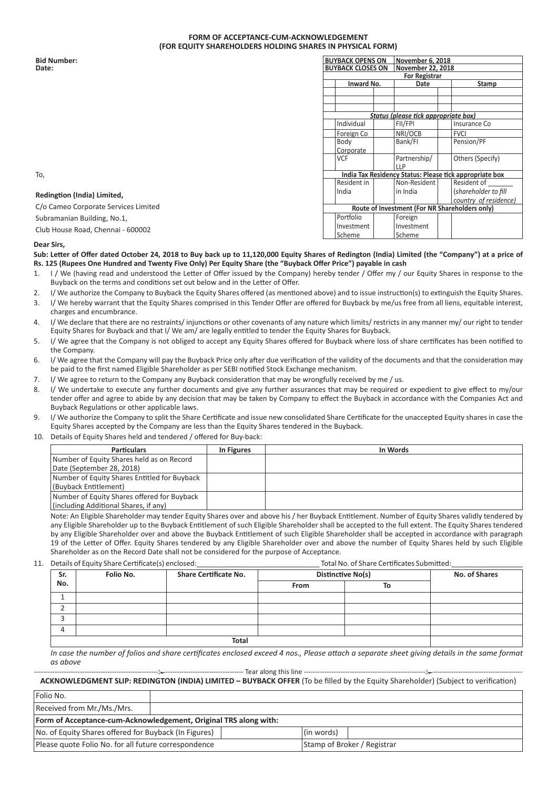### **FORM OF ACCEPTANCE-CUM-ACKNOWLEDGEMENT (FOR EQUITY SHAREHOLDERS HOLDING SHARES IN PHYSICAL FORM)**

| <b>Bid Number:</b>                   |  | <b>BUYBACK OPENS ON</b>  |  | November 6, 2018                               |  |                                                         |
|--------------------------------------|--|--------------------------|--|------------------------------------------------|--|---------------------------------------------------------|
| Date:                                |  | <b>BUYBACK CLOSES ON</b> |  | November 22, 2018                              |  |                                                         |
|                                      |  |                          |  | <b>For Registrar</b>                           |  |                                                         |
|                                      |  | Inward No.               |  | Date                                           |  | Stamp                                                   |
|                                      |  |                          |  |                                                |  |                                                         |
|                                      |  |                          |  |                                                |  |                                                         |
|                                      |  |                          |  |                                                |  |                                                         |
|                                      |  |                          |  | Status (please tick appropriate box)           |  |                                                         |
|                                      |  | Individual               |  | FII/FPI                                        |  | Insurance Co                                            |
|                                      |  | Foreign Co               |  | NRI/OCB                                        |  | <b>FVCI</b>                                             |
|                                      |  | Body                     |  | Bank/FI                                        |  | Pension/PF                                              |
|                                      |  | Corporate                |  |                                                |  |                                                         |
|                                      |  | <b>VCF</b>               |  | Partnership/                                   |  | Others (Specify)                                        |
|                                      |  |                          |  | 11P                                            |  |                                                         |
| To,                                  |  |                          |  |                                                |  | India Tax Residency Status: Please tick appropriate box |
|                                      |  | Resident in              |  | Non-Resident                                   |  | Resident of                                             |
| Redingtion (India) Limited,          |  | India                    |  | in India                                       |  | (shareholder to fill                                    |
|                                      |  |                          |  |                                                |  | country of residence)                                   |
| C/o Cameo Corporate Services Limited |  |                          |  | Route of Investment (For NR Shareholders only) |  |                                                         |
| Subramanian Building, No.1,          |  | Portfolio                |  | Foreign                                        |  |                                                         |
| Club House Road, Chennai - 600002    |  | Investment               |  | Investment                                     |  |                                                         |
|                                      |  | Scheme                   |  | Scheme                                         |  |                                                         |

#### **Dear Sirs,**

#### **Sub: Letter of Offer dated October 24, 2018 to Buy back up to 11,120,000 Equity Shares of Redington (India) Limited (the "Company") at a price of Rs. 125 (Rupees One Hundred and Twenty Five Only) Per Equity Share (the "Buyback Offer Price") payable in cash**

- 1. I / We (having read and understood the Letter of Offer issued by the Company) hereby tender / Offer my / our Equity Shares in response to the Buyback on the terms and conditions set out below and in the Letter of Offer.
- 2. I/ We authorize the Company to Buyback the Equity Shares offered (as mentioned above) and to issue instruction(s) to extinguish the Equity Shares.
- 3. I/ We hereby warrant that the Equity Shares comprised in this Tender Offer are offered for Buyback by me/us free from all liens, equitable interest, charges and encumbrance.
- 4. I/ We declare that there are no restraints/ injunctions or other covenants of any nature which limits/ restricts in any manner my/ our right to tender Equity Shares for Buyback and that I/ We am/ are legally entitled to tender the Equity Shares for Buyback.
- 5. I/ We agree that the Company is not obliged to accept any Equity Shares offered for Buyback where loss of share certificates has been notified to the Company.
- 6. I/ We agree that the Company will pay the Buyback Price only after due verification of the validity of the documents and that the consideration may be paid to the first named Eligible Shareholder as per SEBI notified Stock Exchange mechanism.
- 7. I/ We agree to return to the Company any Buyback consideration that may be wrongfully received by me / us.
- 8. I/ We undertake to execute any further documents and give any further assurances that may be required or expedient to give effect to my/our tender offer and agree to abide by any decision that may be taken by Company to effect the Buyback in accordance with the Companies Act and Buyback Regulations or other applicable laws.
- 9. I/ We authorize the Company to split the Share Certificate and issue new consolidated Share Certificate for the unaccepted Equity shares in case the Equity Shares accepted by the Company are less than the Equity Shares tendered in the Buyback.
- 10. Details of Equity Shares held and tendered / offered for Buy-back:

| <b>Particulars</b>                                                                   | In Figures | In Words |
|--------------------------------------------------------------------------------------|------------|----------|
| Number of Equity Shares held as on Record<br>Date (September 28, 2018)               |            |          |
| Number of Equity Shares Entitled for Buyback<br>(Buyback Entitlement)                |            |          |
| Number of Equity Shares offered for Buyback<br>(including Additional Shares, if any) |            |          |

Note: An Eligible Shareholder may tender Equity Shares over and above his / her Buyback Entitlement. Number of Equity Shares validly tendered by any Eligible Shareholder up to the Buyback Entitlement of such Eligible Shareholder shall be accepted to the full extent. The Equity Shares tendered by any Eligible Shareholder over and above the Buyback Entitlement of such Eligible Shareholder shall be accepted in accordance with paragraph 19 of the Letter of Offer. Equity Shares tendered by any Eligible Shareholder over and above the number of Equity Shares held by such Eligible Shareholder as on the Record Date shall not be considered for the purpose of Acceptance.

11. Details of Equity Share Certificate(s) enclosed:\_\_\_\_\_\_\_\_\_\_\_\_\_\_\_\_\_\_\_\_\_\_\_\_\_\_\_\_\_\_\_ Total No. of Share Certificates Submitted:\_\_\_\_\_\_\_\_\_\_\_\_\_\_\_\_\_\_

| Sr.                           | Folio No. | <b>Share Certificate No.</b><br>Distinctive No(s) |      | <b>No. of Shares</b> |  |
|-------------------------------|-----------|---------------------------------------------------|------|----------------------|--|
| No.                           |           |                                                   | From | To                   |  |
|                               |           |                                                   |      |                      |  |
| ∼<br>-                        |           |                                                   |      |                      |  |
| $\overline{\phantom{0}}$<br>ر |           |                                                   |      |                      |  |
| 4                             |           |                                                   |      |                      |  |
|                               |           | <b>Total</b>                                      |      |                      |  |

*In case the number of folios and share certificates enclosed exceed 4 nos., Please attach a separate sheet giving details in the same format as above*

---- Tear along this line ------**ACKNOWLEDGMENT SLIP: REDINGTON (INDIA) LIMITED – BUYBACK OFFER** (To be filled by the Equity Shareholder) (Subject to verification)

| Folio No.                                                             |  |  |  |                             |  |  |
|-----------------------------------------------------------------------|--|--|--|-----------------------------|--|--|
| Received from Mr./Ms./Mrs.                                            |  |  |  |                             |  |  |
| Form of Acceptance-cum-Acknowledgement, Original TRS along with:      |  |  |  |                             |  |  |
| No. of Equity Shares offered for Buyback (In Figures)<br>l (in words) |  |  |  |                             |  |  |
| Please quote Folio No. for all future correspondence                  |  |  |  | Stamp of Broker / Registrar |  |  |